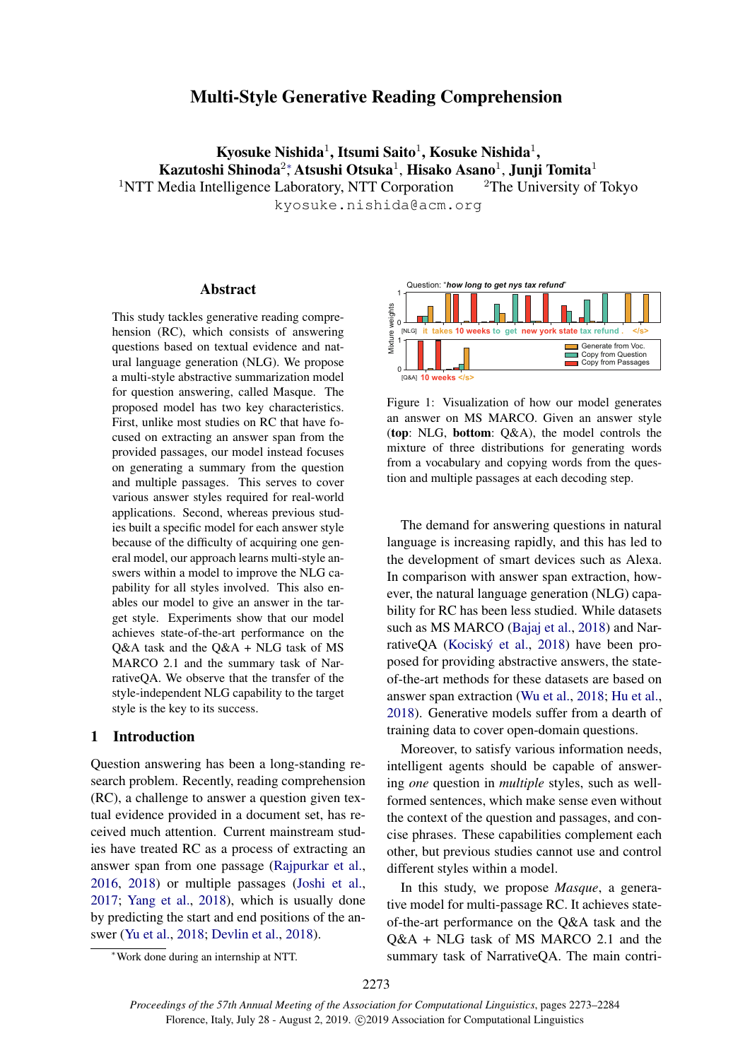# Multi-Style Generative Reading Comprehension

Kyosuke Nishida $^1$ , Itsumi Saito $^1$ , Kosuke Nishida $^1,$ Kazutoshi Shinoda $^2\!$ , Atsushi Otsuka $^1$ , Hisako Asano $^1$ , Junji Tomita $^1$ <sup>1</sup>NTT Media Intelligence Laboratory, NTT Corporation <sup>2</sup>The University of Tokyo kyosuke.nishida@acm.org

# Abstract

This study tackles generative reading comprehension (RC), which consists of answering questions based on textual evidence and natural language generation (NLG). We propose a multi-style abstractive summarization model for question answering, called Masque. The proposed model has two key characteristics. First, unlike most studies on RC that have focused on extracting an answer span from the provided passages, our model instead focuses on generating a summary from the question and multiple passages. This serves to cover various answer styles required for real-world applications. Second, whereas previous studies built a specific model for each answer style because of the difficulty of acquiring one general model, our approach learns multi-style answers within a model to improve the NLG capability for all styles involved. This also enables our model to give an answer in the target style. Experiments show that our model achieves state-of-the-art performance on the Q&A task and the Q&A + NLG task of MS MARCO 2.1 and the summary task of NarrativeQA. We observe that the transfer of the style-independent NLG capability to the target style is the key to its success. *France such taxing temperation* the same specified and the side of the side of the side of the and an internship and all anguage aperation (NLG). We propose an antifi-style abstractive summarization model of quasing and

# 1 Introduction

Question answering has been a long-standing research problem. Recently, reading comprehension (RC), a challenge to answer a question given textual evidence provided in a document set, has received much attention. Current mainstream studies have treated RC as a process of extracting an answer span from one passage [\(Rajpurkar et al.,](#page-10-0) [2016,](#page-10-0) [2018\)](#page-10-1) or multiple passages [\(Joshi et al.,](#page-9-0) [2017;](#page-9-0) [Yang et al.,](#page-11-0) [2018\)](#page-11-0), which is usually done by predicting the start and end positions of the answer [\(Yu et al.,](#page-11-1) [2018;](#page-11-1) [Devlin et al.,](#page-8-0) [2018\)](#page-8-0).

<span id="page-0-0"></span>

Figure 1: Visualization of how our model generates an answer on MS MARCO. Given an answer style (top: NLG, bottom: Q&A), the model controls the mixture of three distributions for generating words from a vocabulary and copying words from the question and multiple passages at each decoding step.

The demand for answering questions in natural language is increasing rapidly, and this has led to the development of smart devices such as Alexa. In comparison with answer span extraction, however, the natural language generation (NLG) capability for RC has been less studied. While datasets such as MS MARCO [\(Bajaj et al.,](#page-8-1) [2018\)](#page-8-1) and Nar-rativeQA (Kociský et al., [2018\)](#page-9-1) have been proposed for providing abstractive answers, the stateof-the-art methods for these datasets are based on answer span extraction [\(Wu et al.,](#page-10-2) [2018;](#page-10-2) [Hu et al.,](#page-9-2) [2018\)](#page-9-2). Generative models suffer from a dearth of training data to cover open-domain questions.

Moreover, to satisfy various information needs, intelligent agents should be capable of answering *one* question in *multiple* styles, such as wellformed sentences, which make sense even without the context of the question and passages, and concise phrases. These capabilities complement each other, but previous studies cannot use and control different styles within a model.

In this study, we propose *Masque*, a generative model for multi-passage RC. It achieves stateof-the-art performance on the Q&A task and the Q&A + NLG task of MS MARCO 2.1 and the summary task of NarrativeQA. The main contri-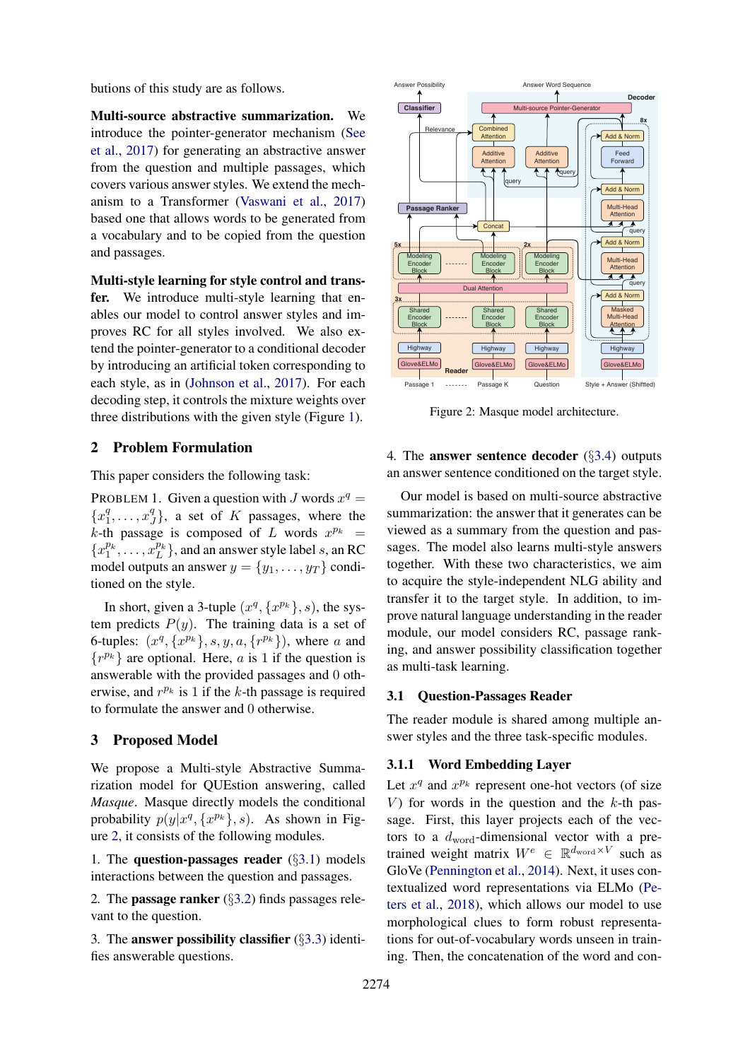butions of this study are as follows.

Multi-source abstractive summarization. We introduce the pointer-generator mechanism [\(See](#page-10-3) [et al.,](#page-10-3) [2017\)](#page-10-3) for generating an abstractive answer from the question and multiple passages, which covers various answer styles. We extend the mechanism to a Transformer [\(Vaswani et al.,](#page-10-4) [2017\)](#page-10-4) based one that allows words to be generated from a vocabulary and to be copied from the question and passages.

Multi-style learning for style control and transfer. We introduce multi-style learning that enables our model to control answer styles and improves RC for all styles involved. We also extend the pointer-generator to a conditional decoder by introducing an artificial token corresponding to each style, as in [\(Johnson et al.,](#page-9-3) [2017\)](#page-9-3). For each decoding step, it controls the mixture weights over three distributions with the given style (Figure [1\)](#page-0-0).

# 2 Problem Formulation

This paper considers the following task:

PROBLEM 1. Given a question with J words  $x^q =$  ${x_1^q}$  $\frac{q}{1}, \ldots, x_j^q$  $\{g\}$ , a set of K passages, where the k-th passage is composed of L words  $x^{p_k}$  =  ${x_1^{p_k}, \ldots, x_L^{p_k}}$ , and an answer style label s, an RC model outputs an answer  $y = \{y_1, \ldots, y_T\}$  conditioned on the style.

In short, given a 3-tuple  $(x^q, \{x^{p_k}\}, s)$ , the system predicts  $P(y)$ . The training data is a set of 6-tuples:  $(x^q, \{x^{p_k}\}, s, y, a, \{r^{p_k}\})$ , where a and  $\{r^{p_k}\}\$ are optional. Here, *a* is 1 if the question is answerable with the provided passages and 0 otherwise, and  $r^{p_k}$  is 1 if the k-th passage is required to formulate the answer and 0 otherwise.

# 3 Proposed Model

We propose a Multi-style Abstractive Summarization model for QUEstion answering, called *Masque*. Masque directly models the conditional probability  $p(y|x^q, \{x^{p_k}\}, s)$ . As shown in Figure [2,](#page-1-0) it consists of the following modules.

1*.* The question-passages reader (§[3.1\)](#page-1-1) models interactions between the question and passages.

2*.* The passage ranker (§[3.2\)](#page-2-0) finds passages relevant to the question.

3*.* The answer possibility classifier (§[3.3\)](#page-2-1) identifies answerable questions.

<span id="page-1-0"></span>

Figure 2: Masque model architecture.

4*.* The answer sentence decoder (§[3.4\)](#page-2-2) outputs an answer sentence conditioned on the target style.

Our model is based on multi-source abstractive summarization: the answer that it generates can be viewed as a summary from the question and passages. The model also learns multi-style answers together. With these two characteristics, we aim to acquire the style-independent NLG ability and transfer it to the target style. In addition, to improve natural language understanding in the reader module, our model considers RC, passage ranking, and answer possibility classification together as multi-task learning.

### <span id="page-1-1"></span>3.1 Question-Passages Reader

The reader module is shared among multiple answer styles and the three task-specific modules.

# 3.1.1 Word Embedding Layer

Let  $x^q$  and  $x^{p_k}$  represent one-hot vectors (of size V) for words in the question and the  $k$ -th passage. First, this layer projects each of the vectors to a  $d_{word}$ -dimensional vector with a pretrained weight matrix  $W^e \in \mathbb{R}^{d_{\text{word}} \times V}$  such as GloVe [\(Pennington et al.,](#page-10-5) [2014\)](#page-10-5). Next, it uses contextualized word representations via ELMo [\(Pe](#page-10-6)[ters et al.,](#page-10-6) [2018\)](#page-10-6), which allows our model to use morphological clues to form robust representations for out-of-vocabulary words unseen in training. Then, the concatenation of the word and con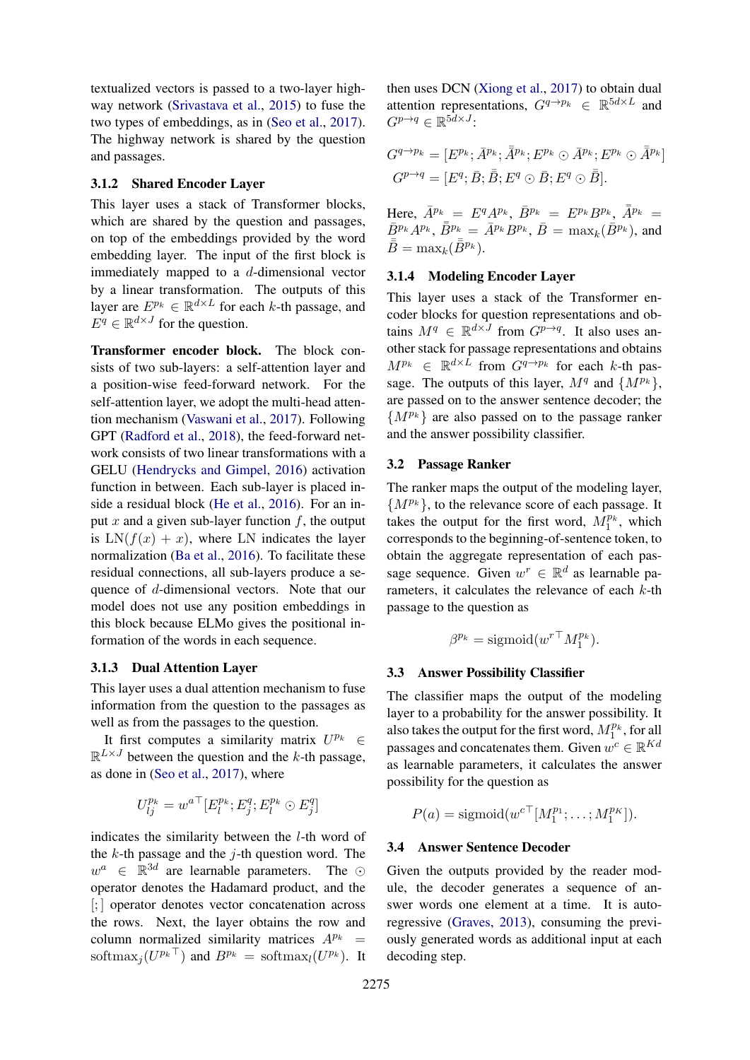textualized vectors is passed to a two-layer highway network [\(Srivastava et al.,](#page-10-7) [2015\)](#page-10-7) to fuse the two types of embeddings, as in [\(Seo et al.,](#page-10-8) [2017\)](#page-10-8). The highway network is shared by the question and passages.

#### <span id="page-2-3"></span>3.1.2 Shared Encoder Layer

This layer uses a stack of Transformer blocks, which are shared by the question and passages, on top of the embeddings provided by the word embedding layer. The input of the first block is immediately mapped to a d-dimensional vector by a linear transformation. The outputs of this layer are  $E^{p_k} \in \mathbb{R}^{d \times L}$  for each k-th passage, and  $E^q \in \mathbb{R}^{d \times J}$  for the question.

Transformer encoder block. The block consists of two sub-layers: a self-attention layer and a position-wise feed-forward network. For the self-attention layer, we adopt the multi-head attention mechanism [\(Vaswani et al.,](#page-10-4) [2017\)](#page-10-4). Following GPT [\(Radford et al.,](#page-10-9) [2018\)](#page-10-9), the feed-forward network consists of two linear transformations with a GELU [\(Hendrycks and Gimpel,](#page-9-4) [2016\)](#page-9-4) activation function in between. Each sub-layer is placed inside a residual block [\(He et al.,](#page-9-5) [2016\)](#page-9-5). For an input x and a given sub-layer function  $f$ , the output is  $LN(f(x) + x)$ , where LN indicates the layer normalization [\(Ba et al.,](#page-8-2) [2016\)](#page-8-2). To facilitate these residual connections, all sub-layers produce a sequence of d-dimensional vectors. Note that our model does not use any position embeddings in this block because ELMo gives the positional information of the words in each sequence.

# 3.1.3 Dual Attention Layer

This layer uses a dual attention mechanism to fuse information from the question to the passages as well as from the passages to the question.

It first computes a similarity matrix  $U^{p_k} \in$  $\mathbb{R}^{L\times J}$  between the question and the k-th passage, as done in [\(Seo et al.,](#page-10-8) [2017\)](#page-10-8), where

$$
U_{lj}^{p_k} = w^{a\top} [E_l^{p_k}; E_j^q; E_l^{p_k} \odot E_j^q]
$$

indicates the similarity between the l-th word of the  $k$ -th passage and the  $j$ -th question word. The  $w^a \in \mathbb{R}^{3d}$  are learnable parameters. The  $\odot$ operator denotes the Hadamard product, and the [; ] operator denotes vector concatenation across the rows. Next, the layer obtains the row and column normalized similarity matrices  $A^{p_k}$  = softmax<sub>j</sub> $(U^{p_k \top})$  and  $B^{p_k} = \text{softmax}_l(U^{p_k})$ . It

then uses DCN [\(Xiong et al.,](#page-10-10) [2017\)](#page-10-10) to obtain dual attention representations,  $G^{q \to p_k} \in \mathbb{R}^{5d \times L}$  and  $G^{p \to q} \in \mathbb{R}^{5d \times J}$ :

$$
G^{q \to p_k} = [E^{p_k}; \bar{A}^{p_k}; \bar{A}^{p_k}; E^{p_k} \odot \bar{A}^{p_k}; E^{p_k} \odot \bar{A}^{p_k}]
$$
  

$$
G^{p \to q} = [E^q; \bar{B}; \bar{B}; E^q \odot \bar{B}; E^q \odot \bar{B}].
$$

Here,  $\bar{A}^{p_k} = E^q A^{p_k}$ ,  $\bar{B}^{p_k} = E^{p_k} B^{p_k}$ ,  $\bar{A}^{p_k} =$  $\bar{B}^{p_k}A^{p_k}, \bar{\bar{B}}^{p_k} = \bar{A}^{p_k}B^{p_k}, \bar{B} = \max_k(\bar{B}^{p_k}),$  and  $\bar{\bar{B}} = \max_k(\bar{\bar{B}}^{p_k}).$ 

### 3.1.4 Modeling Encoder Layer

This layer uses a stack of the Transformer encoder blocks for question representations and obtains  $M^q \in \mathbb{R}^{d \times J}$  from  $G^{p \to q}$ . It also uses another stack for passage representations and obtains  $M^{p_k} \in \mathbb{R}^{d \times \bar{L}}$  from  $G^{q \to p_k}$  for each k-th passage. The outputs of this layer,  $M<sup>q</sup>$  and  $\{M^{p_k}\},$ are passed on to the answer sentence decoder; the  $\{M^{p_k}\}\$ are also passed on to the passage ranker and the answer possibility classifier.

### <span id="page-2-0"></span>3.2 Passage Ranker

The ranker maps the output of the modeling layer,  $\{M^{p_k}\}\$ , to the relevance score of each passage. It takes the output for the first word,  $M_1^{p_k}$ , which corresponds to the beginning-of-sentence token, to obtain the aggregate representation of each passage sequence. Given  $w^r \in \mathbb{R}^d$  as learnable parameters, it calculates the relevance of each  $k$ -th passage to the question as

$$
\beta^{p_k} = \text{sigmoid}(w^{r\top} M_1^{p_k}).
$$

#### <span id="page-2-1"></span>3.3 Answer Possibility Classifier

The classifier maps the output of the modeling layer to a probability for the answer possibility. It also takes the output for the first word,  $M_1^{p_k}$ , for all passages and concatenates them. Given  $w^c \in \mathbb{R}^{Kd}$ as learnable parameters, it calculates the answer possibility for the question as

$$
P(a) = \text{sigmoid}(w^{c\top}[M_1^{p_1}; \dots; M_1^{p_K}]).
$$

# <span id="page-2-2"></span>3.4 Answer Sentence Decoder

Given the outputs provided by the reader module, the decoder generates a sequence of answer words one element at a time. It is autoregressive [\(Graves,](#page-8-3) [2013\)](#page-8-3), consuming the previously generated words as additional input at each decoding step.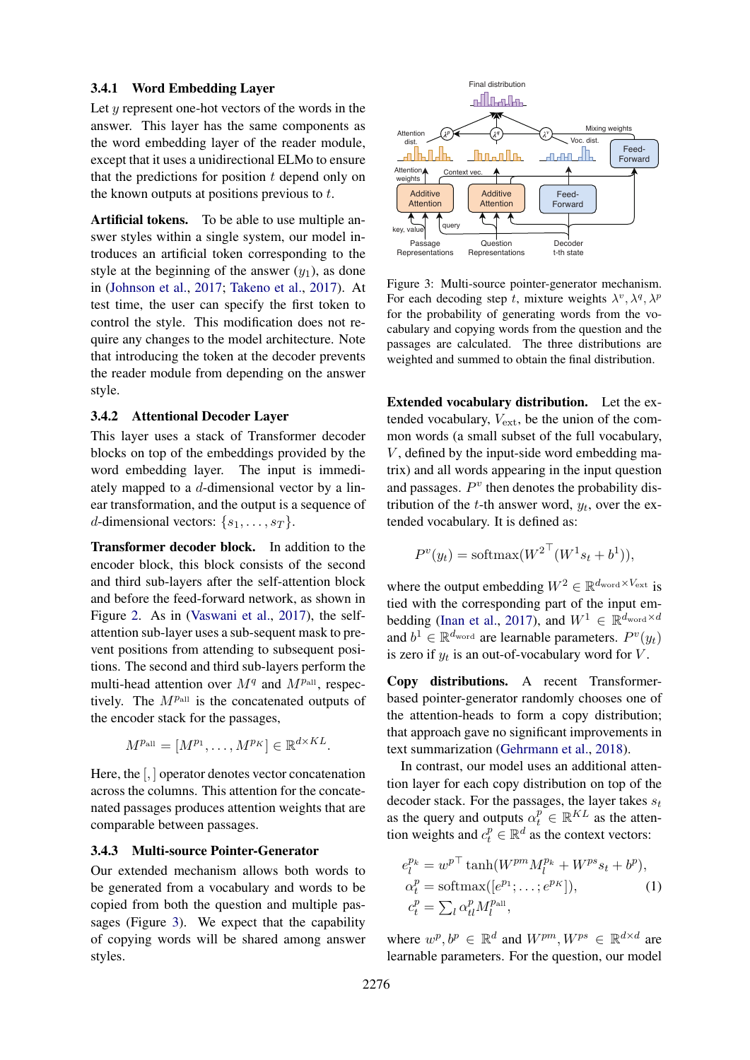### 3.4.1 Word Embedding Layer

Let  $y$  represent one-hot vectors of the words in the answer. This layer has the same components as the word embedding layer of the reader module, except that it uses a unidirectional ELMo to ensure that the predictions for position  $t$  depend only on the known outputs at positions previous to t.

Artificial tokens. To be able to use multiple answer styles within a single system, our model introduces an artificial token corresponding to the style at the beginning of the answer  $(y_1)$ , as done in [\(Johnson et al.,](#page-9-3) [2017;](#page-9-3) [Takeno et al.,](#page-10-11) [2017\)](#page-10-11). At test time, the user can specify the first token to control the style. This modification does not require any changes to the model architecture. Note that introducing the token at the decoder prevents the reader module from depending on the answer style.

#### <span id="page-3-2"></span>3.4.2 Attentional Decoder Layer

This layer uses a stack of Transformer decoder blocks on top of the embeddings provided by the word embedding layer. The input is immediately mapped to a d-dimensional vector by a linear transformation, and the output is a sequence of d-dimensional vectors:  $\{s_1, \ldots, s_T\}$ .

Transformer decoder block. In addition to the encoder block, this block consists of the second and third sub-layers after the self-attention block and before the feed-forward network, as shown in Figure [2.](#page-1-0) As in [\(Vaswani et al.,](#page-10-4) [2017\)](#page-10-4), the selfattention sub-layer uses a sub-sequent mask to prevent positions from attending to subsequent positions. The second and third sub-layers perform the multi-head attention over  $M<sup>q</sup>$  and  $M<sup>p</sup><sub>all</sub>$ , respectively. The  $M^{p_{all}}$  is the concatenated outputs of the encoder stack for the passages,

$$
M^{p_{\text{all}}} = [M^{p_1}, \dots, M^{p_K}] \in \mathbb{R}^{d \times KL}.
$$

Here, the [, ] operator denotes vector concatenation across the columns. This attention for the concatenated passages produces attention weights that are comparable between passages.

#### 3.4.3 Multi-source Pointer-Generator

Our extended mechanism allows both words to be generated from a vocabulary and words to be copied from both the question and multiple passages (Figure [3\)](#page-3-0). We expect that the capability of copying words will be shared among answer styles.

<span id="page-3-0"></span>

Figure 3: Multi-source pointer-generator mechanism. For each decoding step t, mixture weights  $\lambda^v, \lambda^q, \lambda^p$ for the probability of generating words from the vocabulary and copying words from the question and the passages are calculated. The three distributions are weighted and summed to obtain the final distribution.

Extended vocabulary distribution. Let the extended vocabulary,  $V_{ext}$ , be the union of the common words (a small subset of the full vocabulary,  $V$ , defined by the input-side word embedding matrix) and all words appearing in the input question and passages.  $P<sup>v</sup>$  then denotes the probability distribution of the  $t$ -th answer word,  $y_t$ , over the extended vocabulary. It is defined as:

$$
P^{v}(y_t) = \text{softmax}(W^{2\top}(W^{1}s_t + b^1)),
$$

where the output embedding  $W^2 \in \mathbb{R}^{d_{\text{word}} \times V_{\text{ext}}}$  is tied with the corresponding part of the input em-bedding [\(Inan et al.,](#page-9-6) [2017\)](#page-9-6), and  $W^1 \in \mathbb{R}^{d_{\text{word}} \times d}$ and  $b^1 \in \mathbb{R}^{d_{\text{word}}}$  are learnable parameters.  $P^v(y_t)$ is zero if  $y_t$  is an out-of-vocabulary word for  $V$ .

Copy distributions. A recent Transformerbased pointer-generator randomly chooses one of the attention-heads to form a copy distribution; that approach gave no significant improvements in text summarization [\(Gehrmann et al.,](#page-8-4) [2018\)](#page-8-4).

In contrast, our model uses an additional attention layer for each copy distribution on top of the decoder stack. For the passages, the layer takes  $s_t$ as the query and outputs  $\alpha_t^p \in \mathbb{R}^{KL}$  as the attention weights and  $c_t^p \in \mathbb{R}^d$  as the context vectors:

<span id="page-3-1"></span>
$$
e_l^{p_k} = w^{p\top} \tanh(W^{pm} M_l^{p_k} + W^{ps} s_t + b^p),
$$
  
\n
$$
\alpha_t^p = \text{softmax}([e^{p_1}; \dots; e^{p_K}]),
$$
  
\n
$$
c_t^p = \sum_l \alpha_{tl}^p M_l^{p_{\text{all}}},
$$
  
\n(1)

where  $w^p, b^p \in \mathbb{R}^d$  and  $W^{pm}$ ,  $W^{ps} \in \mathbb{R}^{d \times d}$  are learnable parameters. For the question, our model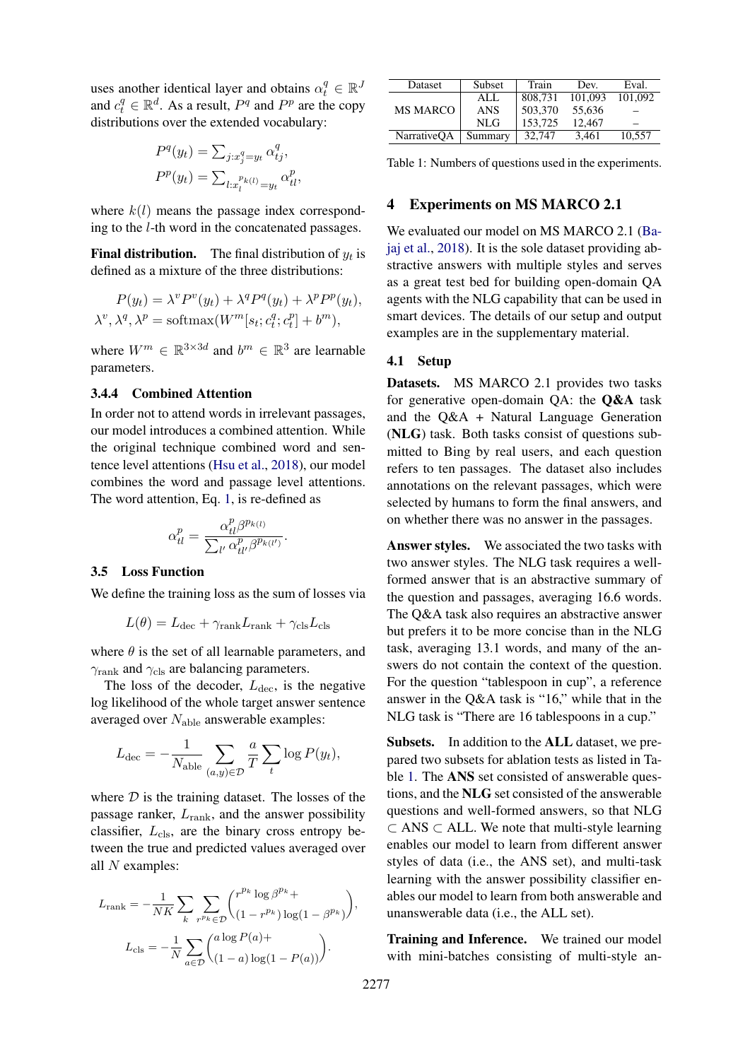uses another identical layer and obtains  $\alpha_t^q \in \mathbb{R}^J$ and  $c_t^q \in \mathbb{R}^d$ . As a result,  $P^q$  and  $P^p$  are the copy distributions over the extended vocabulary:

$$
P^{q}(y_{t}) = \sum_{j:x_{j}^{q}=y_{t}} \alpha_{tj}^{q},
$$

$$
P^{p}(y_{t}) = \sum_{l:x_{l}^{p_{k}(l)}=y_{t}} \alpha_{tl}^{p},
$$

where  $k(l)$  means the passage index corresponding to the l-th word in the concatenated passages.

**Final distribution.** The final distribution of  $y_t$  is defined as a mixture of the three distributions:

$$
P(y_t) = \lambda^v P^v(y_t) + \lambda^q P^q(y_t) + \lambda^p P^p(y_t),
$$
  

$$
\lambda^v, \lambda^q, \lambda^p = \text{softmax}(W^m[s_t; c_t^q; c_t^p] + b^m),
$$

where  $W^m \in \mathbb{R}^{3 \times 3d}$  and  $b^m \in \mathbb{R}^3$  are learnable parameters.

# 3.4.4 Combined Attention

In order not to attend words in irrelevant passages, our model introduces a combined attention. While the original technique combined word and sentence level attentions [\(Hsu et al.,](#page-9-7) [2018\)](#page-9-7), our model combines the word and passage level attentions. The word attention, Eq. [1,](#page-3-1) is re-defined as

$$
\alpha_{tl}^p = \frac{\alpha_{tl}^p \beta^{p_{k(l)}}}{\sum_{l'} \alpha_{tl'}^p \beta^{p_{k(l')}}}
$$

.

### 3.5 Loss Function

We define the training loss as the sum of losses via

$$
L(\theta) = L_{\text{dec}} + \gamma_{\text{rank}} L_{\text{rank}} + \gamma_{\text{cls}} L_{\text{cls}}
$$

where  $\theta$  is the set of all learnable parameters, and  $\gamma_{\text{rank}}$  and  $\gamma_{\text{cls}}$  are balancing parameters.

The loss of the decoder,  $L_{\text{dec}}$ , is the negative log likelihood of the whole target answer sentence averaged over Nable answerable examples:

$$
L_{\text{dec}} = -\frac{1}{N_{\text{able}}}\sum_{(a,y)\in\mathcal{D}}\frac{a}{T}\sum_{t}\log P(y_t),
$$

where  $D$  is the training dataset. The losses of the passage ranker,  $L_{\text{rank}}$ , and the answer possibility classifier,  $L_{cls}$ , are the binary cross entropy between the true and predicted values averaged over all  $N$  examples:

$$
L_{\text{rank}} = -\frac{1}{NK} \sum_{k} \sum_{r^{p_k} \in \mathcal{D}} {r^{p_k} \log \beta^{p_k} + \sum_{c \leq k} (1 - r^{p_k}) \log(1 - \beta^{p_k})},
$$

$$
L_{\text{cls}} = -\frac{1}{N} \sum_{a \in \mathcal{D}} {a \log P(a) + \sum_{(1-a) \log(1 - P(a))} }.
$$

<span id="page-4-0"></span>

| Dataset            | Subset     | Train   | Dev.    | Eval.   |
|--------------------|------------|---------|---------|---------|
|                    | ALL        | 808,731 | 101.093 | 101.092 |
| <b>MS MARCO</b>    | <b>ANS</b> | 503,370 | 55.636  |         |
|                    | NLG        | 153,725 | 12.467  |         |
| <b>NarrativeOA</b> | Summary    | 32,747  | 3.461   | 10.557  |

Table 1: Numbers of questions used in the experiments.

### 4 Experiments on MS MARCO 2.1

We evaluated our model on MS MARCO 2.1 [\(Ba](#page-8-1)[jaj et al.,](#page-8-1) [2018\)](#page-8-1). It is the sole dataset providing abstractive answers with multiple styles and serves as a great test bed for building open-domain QA agents with the NLG capability that can be used in smart devices. The details of our setup and output examples are in the supplementary material.

### 4.1 Setup

Datasets. MS MARCO 2.1 provides two tasks for generative open-domain QA: the Q&A task and the Q&A + Natural Language Generation (NLG) task. Both tasks consist of questions submitted to Bing by real users, and each question refers to ten passages. The dataset also includes annotations on the relevant passages, which were selected by humans to form the final answers, and on whether there was no answer in the passages.

Answer styles. We associated the two tasks with two answer styles. The NLG task requires a wellformed answer that is an abstractive summary of the question and passages, averaging 16.6 words. The Q&A task also requires an abstractive answer but prefers it to be more concise than in the NLG task, averaging 13.1 words, and many of the answers do not contain the context of the question. For the question "tablespoon in cup", a reference answer in the Q&A task is "16," while that in the NLG task is "There are 16 tablespoons in a cup."

Subsets. In addition to the ALL dataset, we prepared two subsets for ablation tests as listed in Table [1.](#page-4-0) The ANS set consisted of answerable questions, and the NLG set consisted of the answerable questions and well-formed answers, so that NLG ⊂ ANS ⊂ ALL. We note that multi-style learning enables our model to learn from different answer styles of data (i.e., the ANS set), and multi-task learning with the answer possibility classifier enables our model to learn from both answerable and unanswerable data (i.e., the ALL set).

Training and Inference. We trained our model with mini-batches consisting of multi-style an-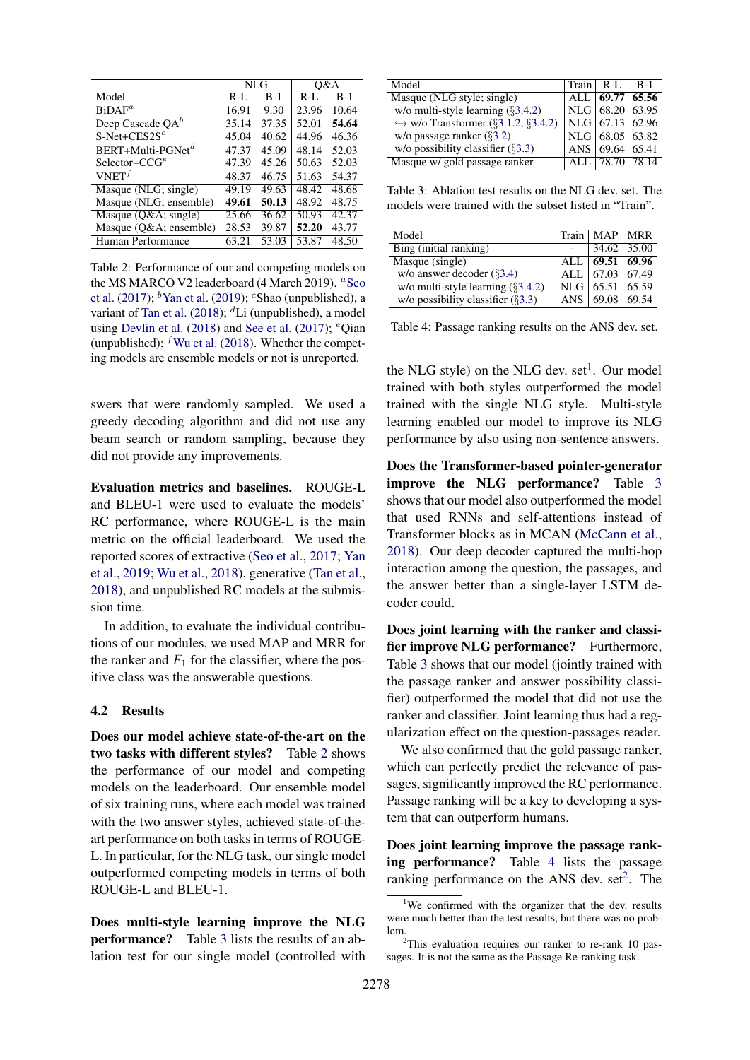<span id="page-5-0"></span>

|                             | NLG     |       | 0&A     |       |
|-----------------------------|---------|-------|---------|-------|
| Model                       | $R-I$ . | $B-1$ | $R-I$ . | $B-1$ |
| $BiDAF^a$                   | 16.91   | 9.30  | 23.96   | 10.64 |
| Deep Cascade $QA^b$         | 35.14   | 37.35 | 52.01   | 54.64 |
| $S-Net+CES2S^c$             | 45.04   | 40.62 | 44.96   | 46.36 |
| $BERT+Multi\text{-}PGNet^d$ | 47.37   | 45.09 | 48.14   | 52.03 |
| $S^{elector} + CCG^{e}$     | 47.39   | 45.26 | 50.63   | 52.03 |
| VNET <sup>f</sup>           | 48.37   | 46.75 | 51.63   | 54.37 |
| Masque (NLG; single)        | 49.19   | 49.63 | 48.42   | 48.68 |
| Masque (NLG; ensemble)      | 49.61   | 50.13 | 48.92   | 48.75 |
| Masque (Q&A single)         | 25.66   | 36.62 | 50.93   | 42.37 |
| Masque (Q&A ensemble)       | 28.53   | 39.87 | 52.20   | 43.77 |
| Human Performance           | 63.21   | 53.03 | 53.87   | 48.50 |

Table 2: Performance of our and competing models on the MS MARCO V2 leaderboard (4 March 2019). <sup>a</sup>[Seo](#page-10-8) [et al.](#page-10-8) [\(2017\)](#page-10-8);  $\mathrm{^{b}Yan}$  et al. [\(2019\)](#page-10-12);  $\mathrm{^{c}Shao}$  (unpublished), a variant of [Tan et al.](#page-10-13) [\(2018\)](#page-10-13);  ${}^d$ Li (unpublished), a model using [Devlin et al.](#page-8-0) [\(2018\)](#page-8-0) and [See et al.](#page-10-3) [\(2017\)](#page-10-3);  $^{\circ}$ Oian (unpublished);  $<sup>f</sup>$  [Wu et al.](#page-10-2) [\(2018\)](#page-10-2). Whether the compet-</sup> ing models are ensemble models or not is unreported.

swers that were randomly sampled. We used a greedy decoding algorithm and did not use any beam search or random sampling, because they did not provide any improvements.

Evaluation metrics and baselines. ROUGE-L and BLEU-1 were used to evaluate the models' RC performance, where ROUGE-L is the main metric on the official leaderboard. We used the reported scores of extractive [\(Seo et al.,](#page-10-8) [2017;](#page-10-8) [Yan](#page-10-12) [et al.,](#page-10-12) [2019;](#page-10-12) [Wu et al.,](#page-10-2) [2018\)](#page-10-2), generative [\(Tan et al.,](#page-10-13) [2018\)](#page-10-13), and unpublished RC models at the submission time.

In addition, to evaluate the individual contributions of our modules, we used MAP and MRR for the ranker and  $F_1$  for the classifier, where the positive class was the answerable questions.

### 4.2 Results

Does our model achieve state-of-the-art on the two tasks with different styles? Table [2](#page-5-0) shows the performance of our model and competing models on the leaderboard. Our ensemble model of six training runs, where each model was trained with the two answer styles, achieved state-of-theart performance on both tasks in terms of ROUGE-L. In particular, for the NLG task, our single model outperformed competing models in terms of both ROUGE-L and BLEU-1.

Does multi-style learning improve the NLG performance? Table [3](#page-5-1) lists the results of an ablation test for our single model (controlled with

<span id="page-5-1"></span>

| Model                                              | $Train \mid R-I$ . |                       | - R-1 |
|----------------------------------------------------|--------------------|-----------------------|-------|
| Masque (NLG style; single)                         |                    | ALL $ 69.77 \t65.56 $ |       |
| w/o multi-style learning $(\S 3.4.2)$              |                    | NLG 68.20 63.95       |       |
| $\hookrightarrow$ w/o Transformer (§3.1.2, §3.4.2) |                    | NLG 67.13 62.96       |       |
| w/o passage ranker $(\S3.2)$                       |                    | NLG 68.05 63.82       |       |
| w/o possibility classifier $(\S3.3)$               | ANS.               | 69.64 65.41           |       |
| Masque w/ gold passage ranker                      |                    | 78.70 78.14           |       |

Table 3: Ablation test results on the NLG dev. set. The models were trained with the subset listed in "Train".

<span id="page-5-3"></span>

| Model                                 | Train   MAP MRR               |  |
|---------------------------------------|-------------------------------|--|
| Bing (initial ranking)                | 34.62 35.00                   |  |
| Masque (single)                       | ALL $69.51$ 69.96             |  |
| w/o answer decoder $(\S3.4)$          | ALL 67.03 67.49               |  |
| w/o multi-style learning $(\S 3.4.2)$ | NLG 65.51 65.59               |  |
| w/o possibility classifier $(\S3.3)$  | ANS $\big  69.08 \big  69.54$ |  |

Table 4: Passage ranking results on the ANS dev. set.

the NLG style) on the NLG dev.  $set<sup>1</sup>$  $set<sup>1</sup>$  $set<sup>1</sup>$ . Our model trained with both styles outperformed the model trained with the single NLG style. Multi-style learning enabled our model to improve its NLG performance by also using non-sentence answers.

Does the Transformer-based pointer-generator improve the NLG performance? Table [3](#page-5-1) shows that our model also outperformed the model that used RNNs and self-attentions instead of Transformer blocks as in MCAN [\(McCann et al.,](#page-9-8) [2018\)](#page-9-8). Our deep decoder captured the multi-hop interaction among the question, the passages, and the answer better than a single-layer LSTM decoder could.

Does joint learning with the ranker and classifier improve NLG performance? Furthermore, Table [3](#page-5-1) shows that our model (jointly trained with the passage ranker and answer possibility classifier) outperformed the model that did not use the ranker and classifier. Joint learning thus had a regularization effect on the question-passages reader.

We also confirmed that the gold passage ranker, which can perfectly predict the relevance of passages, significantly improved the RC performance. Passage ranking will be a key to developing a system that can outperform humans.

Does joint learning improve the passage ranking performance? Table [4](#page-5-3) lists the passage ranking performance on the ANS dev.  $set<sup>2</sup>$  $set<sup>2</sup>$  $set<sup>2</sup>$ . The

<span id="page-5-2"></span><sup>&</sup>lt;sup>1</sup>We confirmed with the organizer that the dev. results were much better than the test results, but there was no problem.

<span id="page-5-4"></span> $2$ This evaluation requires our ranker to re-rank 10 passages. It is not the same as the Passage Re-ranking task.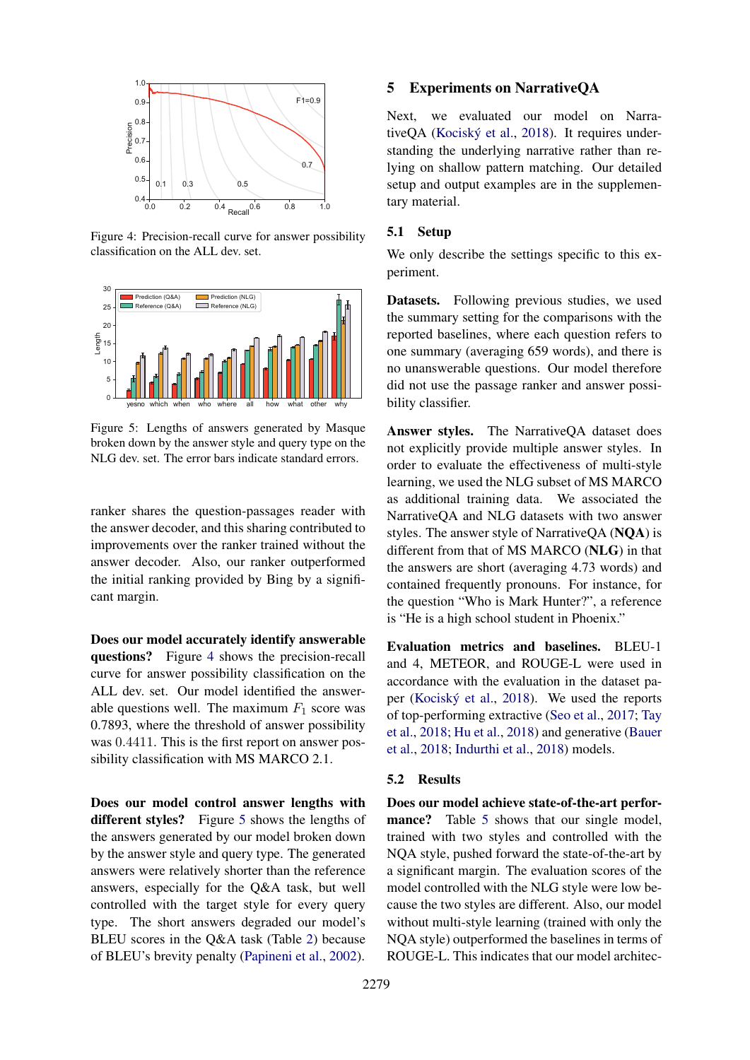<span id="page-6-0"></span>

Figure 4: Precision-recall curve for answer possibility classification on the ALL dev. set.

<span id="page-6-1"></span>

Figure 5: Lengths of answers generated by Masque broken down by the answer style and query type on the NLG dev. set. The error bars indicate standard errors.

ranker shares the question-passages reader with the answer decoder, and this sharing contributed to improvements over the ranker trained without the answer decoder. Also, our ranker outperformed the initial ranking provided by Bing by a significant margin.

Does our model accurately identify answerable questions? Figure [4](#page-6-0) shows the precision-recall curve for answer possibility classification on the ALL dev. set. Our model identified the answerable questions well. The maximum  $F_1$  score was 0.7893, where the threshold of answer possibility was 0.4411. This is the first report on answer possibility classification with MS MARCO 2.1.

Does our model control answer lengths with different styles? Figure [5](#page-6-1) shows the lengths of the answers generated by our model broken down by the answer style and query type. The generated answers were relatively shorter than the reference answers, especially for the Q&A task, but well controlled with the target style for every query type. The short answers degraded our model's BLEU scores in the Q&A task (Table [2\)](#page-5-0) because of BLEU's brevity penalty [\(Papineni et al.,](#page-9-9) [2002\)](#page-9-9).

### 5 Experiments on NarrativeQA

Next, we evaluated our model on Narra-tiveOA (Kociský et al., [2018\)](#page-9-1). It requires understanding the underlying narrative rather than relying on shallow pattern matching. Our detailed setup and output examples are in the supplementary material.

#### 5.1 Setup

We only describe the settings specific to this experiment.

Datasets. Following previous studies, we used the summary setting for the comparisons with the reported baselines, where each question refers to one summary (averaging 659 words), and there is no unanswerable questions. Our model therefore did not use the passage ranker and answer possibility classifier.

Answer styles. The NarrativeQA dataset does not explicitly provide multiple answer styles. In order to evaluate the effectiveness of multi-style learning, we used the NLG subset of MS MARCO as additional training data. We associated the NarrativeQA and NLG datasets with two answer styles. The answer style of NarrativeQA (NQA) is different from that of MS MARCO (NLG) in that the answers are short (averaging 4.73 words) and contained frequently pronouns. For instance, for the question "Who is Mark Hunter?", a reference is "He is a high school student in Phoenix."

Evaluation metrics and baselines. BLEU-1 and 4, METEOR, and ROUGE-L were used in accordance with the evaluation in the dataset pa-per (Kociský et al., [2018\)](#page-9-1). We used the reports of top-performing extractive [\(Seo et al.,](#page-10-8) [2017;](#page-10-8) [Tay](#page-10-14) [et al.,](#page-10-14) [2018;](#page-10-14) [Hu et al.,](#page-9-2) [2018\)](#page-9-2) and generative [\(Bauer](#page-8-5) [et al.,](#page-8-5) [2018;](#page-8-5) [Indurthi et al.,](#page-9-10) [2018\)](#page-9-10) models.

# 5.2 Results

Does our model achieve state-of-the-art perfor-mance? Table [5](#page-7-0) shows that our single model, trained with two styles and controlled with the NQA style, pushed forward the state-of-the-art by a significant margin. The evaluation scores of the model controlled with the NLG style were low because the two styles are different. Also, our model without multi-style learning (trained with only the NQA style) outperformed the baselines in terms of ROUGE-L. This indicates that our model architec-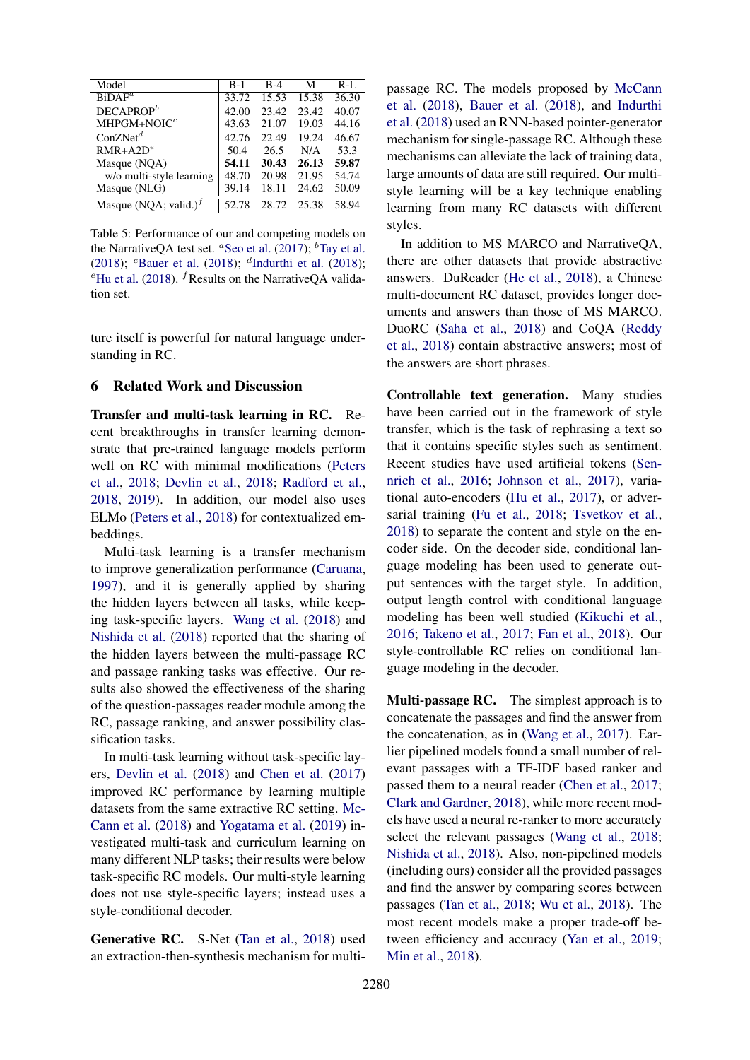<span id="page-7-0"></span>

| Model                     | $B-1$ | $B-4$ | М     | $R-I$ . |
|---------------------------|-------|-------|-------|---------|
| $BiDAF^a$                 | 33.72 | 15.53 | 15.38 | 36.30   |
| $DECAPROP^b$              | 42.00 | 23.42 | 23.42 | 40.07   |
| $MHPGM+NOICc$             | 43.63 | 21.07 | 19.03 | 44.16   |
| ConZNet <sup>d</sup>      | 42.76 | 22.49 | 19.24 | 46.67   |
| $RMR+A2D^e$               | 50.4  | 26.5  | N/A   | 53.3    |
| Masque (NQA)              | 54.11 | 30.43 | 26.13 | 59.87   |
| w/o multi-style learning  | 48.70 | 20.98 | 21.95 | 54.74   |
| Masque (NLG)              | 39.14 | 18.11 | 24.62 | 50.09   |
| Masque (NOA; valid.) $^f$ | 52.78 | 28.72 | 25.38 | 58.94   |

Table 5: Performance of our and competing models on the NarrativeQA test set. <sup>*a*</sup>[Seo et al.](#page-10-8) [\(2017\)](#page-10-8); <sup>*b*</sup>[Tay et al.](#page-10-14) [\(2018\)](#page-9-10); <sup>c</sup>[Bauer et al.](#page-8-5) (2018); <sup>d</sup>[Indurthi et al.](#page-9-10) (2018); <sup>e</sup>[Hu et al.](#page-9-2) [\(2018\)](#page-9-2). <sup>*f*</sup> Results on the NarrativeQA validation set.

ture itself is powerful for natural language understanding in RC.

# 6 Related Work and Discussion

Transfer and multi-task learning in RC. Recent breakthroughs in transfer learning demonstrate that pre-trained language models perform well on RC with minimal modifications [\(Peters](#page-10-6) [et al.,](#page-10-6) [2018;](#page-10-6) [Devlin et al.,](#page-8-0) [2018;](#page-8-0) [Radford et al.,](#page-10-9) [2018,](#page-10-9) [2019\)](#page-10-15). In addition, our model also uses ELMo [\(Peters et al.,](#page-10-6) [2018\)](#page-10-6) for contextualized embeddings.

Multi-task learning is a transfer mechanism to improve generalization performance [\(Caruana,](#page-8-6) [1997\)](#page-8-6), and it is generally applied by sharing the hidden layers between all tasks, while keeping task-specific layers. [Wang et al.](#page-10-16) [\(2018\)](#page-10-16) and [Nishida et al.](#page-9-11) [\(2018\)](#page-9-11) reported that the sharing of the hidden layers between the multi-passage RC and passage ranking tasks was effective. Our results also showed the effectiveness of the sharing of the question-passages reader module among the RC, passage ranking, and answer possibility classification tasks.

In multi-task learning without task-specific layers, [Devlin et al.](#page-8-0) [\(2018\)](#page-8-0) and [Chen et al.](#page-8-7) [\(2017\)](#page-8-7) improved RC performance by learning multiple datasets from the same extractive RC setting. [Mc-](#page-9-8)[Cann et al.](#page-9-8) [\(2018\)](#page-9-8) and [Yogatama et al.](#page-11-2) [\(2019\)](#page-11-2) investigated multi-task and curriculum learning on many different NLP tasks; their results were below task-specific RC models. Our multi-style learning does not use style-specific layers; instead uses a style-conditional decoder.

Generative RC. S-Net [\(Tan et al.,](#page-10-13) [2018\)](#page-10-13) used an extraction-then-synthesis mechanism for multipassage RC. The models proposed by [McCann](#page-9-8) [et al.](#page-9-8) [\(2018\)](#page-9-8), [Bauer et al.](#page-8-5) [\(2018\)](#page-8-5), and [Indurthi](#page-9-10) [et al.](#page-9-10) [\(2018\)](#page-9-10) used an RNN-based pointer-generator mechanism for single-passage RC. Although these mechanisms can alleviate the lack of training data, large amounts of data are still required. Our multistyle learning will be a key technique enabling learning from many RC datasets with different styles.

In addition to MS MARCO and NarrativeQA, there are other datasets that provide abstractive answers. DuReader [\(He et al.,](#page-9-12) [2018\)](#page-9-12), a Chinese multi-document RC dataset, provides longer documents and answers than those of MS MARCO. DuoRC [\(Saha et al.,](#page-10-17) [2018\)](#page-10-17) and CoQA [\(Reddy](#page-10-18) [et al.,](#page-10-18) [2018\)](#page-10-18) contain abstractive answers; most of the answers are short phrases.

Controllable text generation. Many studies have been carried out in the framework of style transfer, which is the task of rephrasing a text so that it contains specific styles such as sentiment. Recent studies have used artificial tokens [\(Sen](#page-10-19)[nrich et al.,](#page-10-19) [2016;](#page-10-19) [Johnson et al.,](#page-9-3) [2017\)](#page-9-3), variational auto-encoders [\(Hu et al.,](#page-9-13) [2017\)](#page-9-13), or adversarial training [\(Fu et al.,](#page-8-8) [2018;](#page-8-8) [Tsvetkov et al.,](#page-10-20) [2018\)](#page-10-20) to separate the content and style on the encoder side. On the decoder side, conditional language modeling has been used to generate output sentences with the target style. In addition, output length control with conditional language modeling has been well studied [\(Kikuchi et al.,](#page-9-14) [2016;](#page-9-14) [Takeno et al.,](#page-10-11) [2017;](#page-10-11) [Fan et al.,](#page-8-9) [2018\)](#page-8-9). Our style-controllable RC relies on conditional language modeling in the decoder.

Multi-passage RC. The simplest approach is to concatenate the passages and find the answer from the concatenation, as in [\(Wang et al.,](#page-10-21) [2017\)](#page-10-21). Earlier pipelined models found a small number of relevant passages with a TF-IDF based ranker and passed them to a neural reader [\(Chen et al.,](#page-8-7) [2017;](#page-8-7) [Clark and Gardner,](#page-8-10) [2018\)](#page-8-10), while more recent models have used a neural re-ranker to more accurately select the relevant passages [\(Wang et al.,](#page-10-16) [2018;](#page-10-16) [Nishida et al.,](#page-9-11) [2018\)](#page-9-11). Also, non-pipelined models (including ours) consider all the provided passages and find the answer by comparing scores between passages [\(Tan et al.,](#page-10-13) [2018;](#page-10-13) [Wu et al.,](#page-10-2) [2018\)](#page-10-2). The most recent models make a proper trade-off between efficiency and accuracy [\(Yan et al.,](#page-10-12) [2019;](#page-10-12) [Min et al.,](#page-9-15) [2018\)](#page-9-15).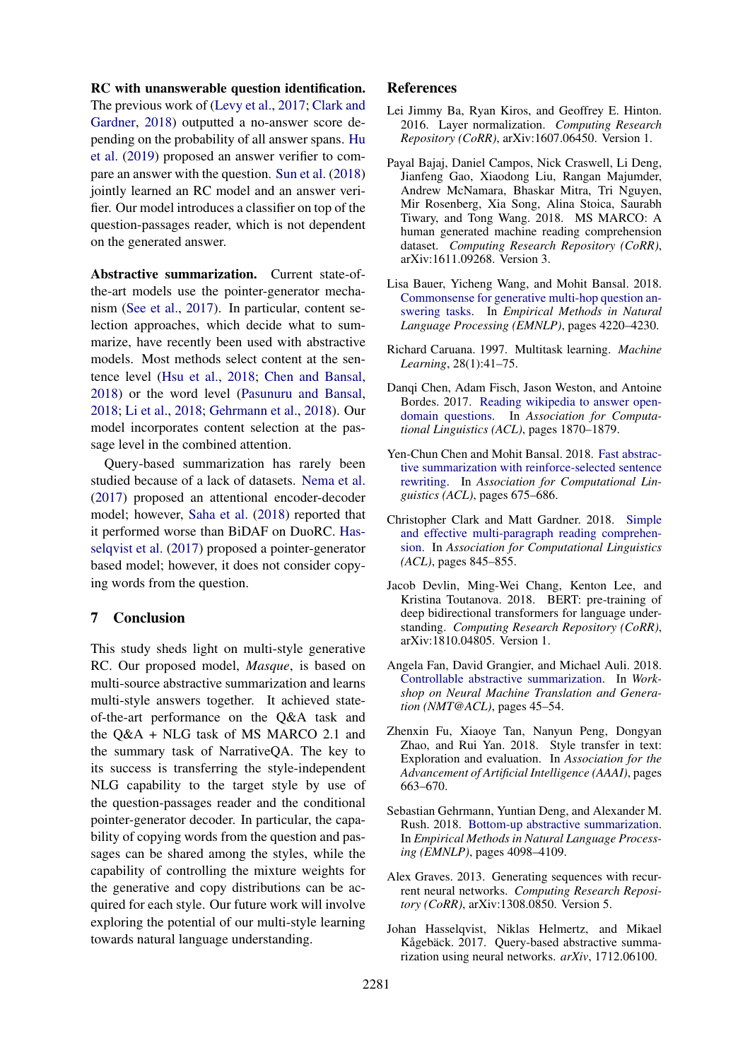# RC with unanswerable question identification.

The previous work of [\(Levy et al.,](#page-9-16) [2017;](#page-9-16) [Clark and](#page-8-10) [Gardner,](#page-8-10) [2018\)](#page-8-10) outputted a no-answer score depending on the probability of all answer spans. [Hu](#page-9-17) [et al.](#page-9-17) [\(2019\)](#page-9-17) proposed an answer verifier to compare an answer with the question. [Sun et al.](#page-10-22) [\(2018\)](#page-10-22) jointly learned an RC model and an answer verifier. Our model introduces a classifier on top of the question-passages reader, which is not dependent on the generated answer.

Abstractive summarization. Current state-ofthe-art models use the pointer-generator mechanism [\(See et al.,](#page-10-3) [2017\)](#page-10-3). In particular, content selection approaches, which decide what to summarize, have recently been used with abstractive models. Most methods select content at the sentence level [\(Hsu et al.,](#page-9-7) [2018;](#page-9-7) [Chen and Bansal,](#page-8-11) [2018\)](#page-8-11) or the word level [\(Pasunuru and Bansal,](#page-9-18) [2018;](#page-9-18) [Li et al.,](#page-9-19) [2018;](#page-9-19) [Gehrmann et al.,](#page-8-4) [2018\)](#page-8-4). Our model incorporates content selection at the passage level in the combined attention.

Query-based summarization has rarely been studied because of a lack of datasets. [Nema et al.](#page-9-20) [\(2017\)](#page-9-20) proposed an attentional encoder-decoder model; however, [Saha et al.](#page-10-17) [\(2018\)](#page-10-17) reported that it performed worse than BiDAF on DuoRC. [Has](#page-8-12)[selqvist et al.](#page-8-12) [\(2017\)](#page-8-12) proposed a pointer-generator based model; however, it does not consider copying words from the question.

# 7 Conclusion

This study sheds light on multi-style generative RC. Our proposed model, *Masque*, is based on multi-source abstractive summarization and learns multi-style answers together. It achieved stateof-the-art performance on the Q&A task and the Q&A + NLG task of MS MARCO 2.1 and the summary task of NarrativeQA. The key to its success is transferring the style-independent NLG capability to the target style by use of the question-passages reader and the conditional pointer-generator decoder. In particular, the capability of copying words from the question and passages can be shared among the styles, while the capability of controlling the mixture weights for the generative and copy distributions can be acquired for each style. Our future work will involve exploring the potential of our multi-style learning towards natural language understanding.

# References

- <span id="page-8-2"></span>Lei Jimmy Ba, Ryan Kiros, and Geoffrey E. Hinton. 2016. Layer normalization. *Computing Research Repository (CoRR)*, arXiv:1607.06450. Version 1.
- <span id="page-8-1"></span>Payal Bajaj, Daniel Campos, Nick Craswell, Li Deng, Jianfeng Gao, Xiaodong Liu, Rangan Majumder, Andrew McNamara, Bhaskar Mitra, Tri Nguyen, Mir Rosenberg, Xia Song, Alina Stoica, Saurabh Tiwary, and Tong Wang. 2018. MS MARCO: A human generated machine reading comprehension dataset. *Computing Research Repository (CoRR)*, arXiv:1611.09268. Version 3.
- <span id="page-8-5"></span>Lisa Bauer, Yicheng Wang, and Mohit Bansal. 2018. [Commonsense for generative multi-hop question an](https://www.aclweb.org/anthology/D18-1454)[swering tasks.](https://www.aclweb.org/anthology/D18-1454) In *Empirical Methods in Natural Language Processing (EMNLP)*, pages 4220–4230.
- <span id="page-8-6"></span>Richard Caruana. 1997. Multitask learning. *Machine Learning*, 28(1):41–75.
- <span id="page-8-7"></span>Danqi Chen, Adam Fisch, Jason Weston, and Antoine Bordes. 2017. [Reading wikipedia to answer open](http://aclweb.org/anthology/P17-1171)[domain questions.](http://aclweb.org/anthology/P17-1171) In *Association for Computational Linguistics (ACL)*, pages 1870–1879.
- <span id="page-8-11"></span>Yen-Chun Chen and Mohit Bansal. 2018. [Fast abstrac](https://www.aclweb.org/anthology/P18-1063)[tive summarization with reinforce-selected sentence](https://www.aclweb.org/anthology/P18-1063) [rewriting.](https://www.aclweb.org/anthology/P18-1063) In *Association for Computational Linguistics (ACL)*, pages 675–686.
- <span id="page-8-10"></span>Christopher Clark and Matt Gardner. 2018. [Simple](https://www.aclweb.org/anthology/P18-1078) [and effective multi-paragraph reading comprehen](https://www.aclweb.org/anthology/P18-1078)[sion.](https://www.aclweb.org/anthology/P18-1078) In *Association for Computational Linguistics (ACL)*, pages 845–855.
- <span id="page-8-0"></span>Jacob Devlin, Ming-Wei Chang, Kenton Lee, and Kristina Toutanova. 2018. BERT: pre-training of deep bidirectional transformers for language understanding. *Computing Research Repository (CoRR)*, arXiv:1810.04805. Version 1.
- <span id="page-8-9"></span>Angela Fan, David Grangier, and Michael Auli. 2018. [Controllable abstractive summarization.](https://www.aclweb.org/anthology/W18-2706) In *Workshop on Neural Machine Translation and Generation (NMT@ACL)*, pages 45–54.
- <span id="page-8-8"></span>Zhenxin Fu, Xiaoye Tan, Nanyun Peng, Dongyan Zhao, and Rui Yan. 2018. Style transfer in text: Exploration and evaluation. In *Association for the Advancement of Artificial Intelligence (AAAI)*, pages 663–670.
- <span id="page-8-4"></span>Sebastian Gehrmann, Yuntian Deng, and Alexander M. Rush. 2018. [Bottom-up abstractive summarization.](https://www.aclweb.org/anthology/D18-1443) In *Empirical Methods in Natural Language Processing (EMNLP)*, pages 4098–4109.
- <span id="page-8-3"></span>Alex Graves. 2013. Generating sequences with recurrent neural networks. *Computing Research Repository (CoRR)*, arXiv:1308.0850. Version 5.
- <span id="page-8-12"></span>Johan Hasselqvist, Niklas Helmertz, and Mikael Kågebäck. 2017. Query-based abstractive summarization using neural networks. *arXiv*, 1712.06100.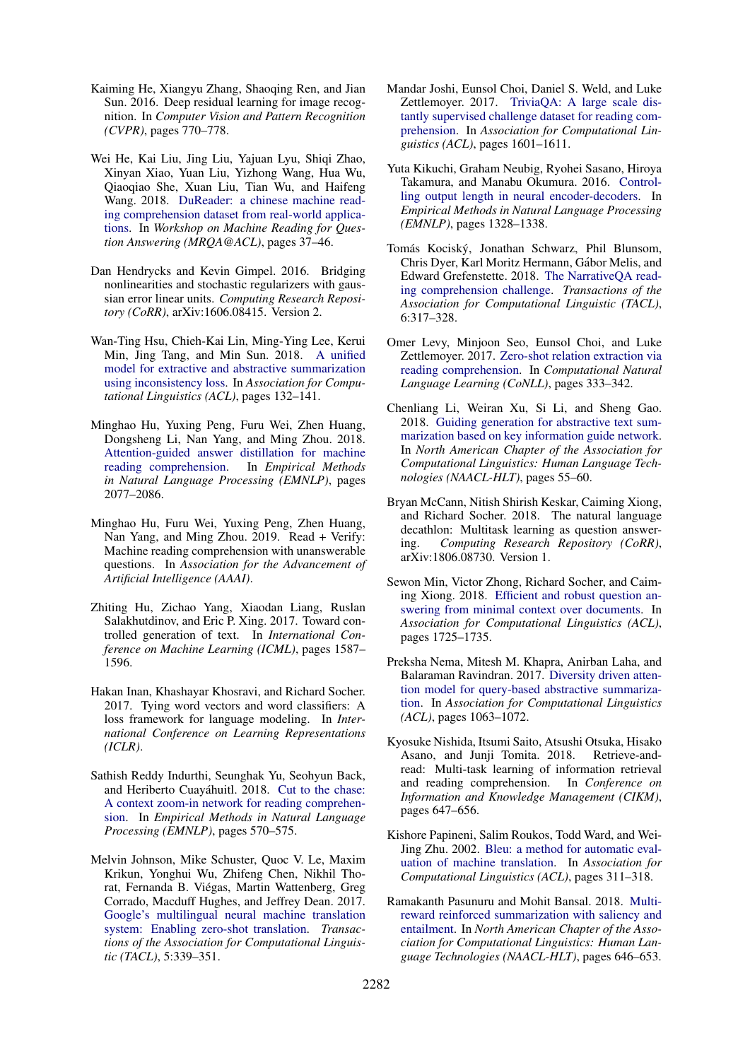- <span id="page-9-5"></span>Kaiming He, Xiangyu Zhang, Shaoqing Ren, and Jian Sun. 2016. Deep residual learning for image recognition. In *Computer Vision and Pattern Recognition (CVPR)*, pages 770–778.
- <span id="page-9-12"></span>Wei He, Kai Liu, Jing Liu, Yajuan Lyu, Shiqi Zhao, Xinyan Xiao, Yuan Liu, Yizhong Wang, Hua Wu, Qiaoqiao She, Xuan Liu, Tian Wu, and Haifeng Wang. 2018. [DuReader: a chinese machine read](https://www.aclweb.org/anthology/W18-2605)[ing comprehension dataset from real-world applica](https://www.aclweb.org/anthology/W18-2605)[tions.](https://www.aclweb.org/anthology/W18-2605) In *Workshop on Machine Reading for Question Answering (MRQA@ACL)*, pages 37–46.
- <span id="page-9-4"></span>Dan Hendrycks and Kevin Gimpel. 2016. Bridging nonlinearities and stochastic regularizers with gaussian error linear units. *Computing Research Repository (CoRR)*, arXiv:1606.08415. Version 2.
- <span id="page-9-7"></span>Wan-Ting Hsu, Chieh-Kai Lin, Ming-Ying Lee, Kerui Min, Jing Tang, and Min Sun. 2018. [A unified](https://www.aclweb.org/anthology/P18-1013) [model for extractive and abstractive summarization](https://www.aclweb.org/anthology/P18-1013) [using inconsistency loss.](https://www.aclweb.org/anthology/P18-1013) In *Association for Computational Linguistics (ACL)*, pages 132–141.
- <span id="page-9-2"></span>Minghao Hu, Yuxing Peng, Furu Wei, Zhen Huang, Dongsheng Li, Nan Yang, and Ming Zhou. 2018. [Attention-guided answer distillation for machine](https://www.aclweb.org/anthology/D18-1232) [reading comprehension.](https://www.aclweb.org/anthology/D18-1232) In *Empirical Methods in Natural Language Processing (EMNLP)*, pages 2077–2086.
- <span id="page-9-17"></span>Minghao Hu, Furu Wei, Yuxing Peng, Zhen Huang, Nan Yang, and Ming Zhou. 2019. Read + Verify: Machine reading comprehension with unanswerable questions. In *Association for the Advancement of Artificial Intelligence (AAAI)*.
- <span id="page-9-13"></span>Zhiting Hu, Zichao Yang, Xiaodan Liang, Ruslan Salakhutdinov, and Eric P. Xing. 2017. Toward controlled generation of text. In *International Conference on Machine Learning (ICML)*, pages 1587– 1596.
- <span id="page-9-6"></span>Hakan Inan, Khashayar Khosravi, and Richard Socher. 2017. Tying word vectors and word classifiers: A loss framework for language modeling. In *International Conference on Learning Representations (ICLR)*.
- <span id="page-9-10"></span>Sathish Reddy Indurthi, Seunghak Yu, Seohyun Back, and Heriberto Cuayáhuitl. 2018. [Cut to the chase:](https://www.aclweb.org/anthology/D18-1054) [A context zoom-in network for reading comprehen](https://www.aclweb.org/anthology/D18-1054)[sion.](https://www.aclweb.org/anthology/D18-1054) In *Empirical Methods in Natural Language Processing (EMNLP)*, pages 570–575.
- <span id="page-9-3"></span>Melvin Johnson, Mike Schuster, Quoc V. Le, Maxim Krikun, Yonghui Wu, Zhifeng Chen, Nikhil Thorat, Fernanda B. Viegas, Martin Wattenberg, Greg ´ Corrado, Macduff Hughes, and Jeffrey Dean. 2017. [Google's multilingual neural machine translation](https://www.aclweb.org/anthology/Q17-1024) [system: Enabling zero-shot translation.](https://www.aclweb.org/anthology/Q17-1024) *Transactions of the Association for Computational Linguistic (TACL)*, 5:339–351.
- <span id="page-9-0"></span>Mandar Joshi, Eunsol Choi, Daniel S. Weld, and Luke Zettlemoyer. 2017. [TriviaQA: A large scale dis](http://aclweb.org/anthology/P17-1147)[tantly supervised challenge dataset for reading com](http://aclweb.org/anthology/P17-1147)[prehension.](http://aclweb.org/anthology/P17-1147) In *Association for Computational Linguistics (ACL)*, pages 1601–1611.
- <span id="page-9-14"></span>Yuta Kikuchi, Graham Neubig, Ryohei Sasano, Hiroya Takamura, and Manabu Okumura. 2016. [Control](https://www.aclweb.org/anthology/D16-1140)[ling output length in neural encoder-decoders.](https://www.aclweb.org/anthology/D16-1140) In *Empirical Methods in Natural Language Processing (EMNLP)*, pages 1328–1338.
- <span id="page-9-1"></span>Tomás Kociský, Jonathan Schwarz, Phil Blunsom, Chris Dyer, Karl Moritz Hermann, Gabor Melis, and ´ Edward Grefenstette. 2018. [The NarrativeQA read](https://www.aclweb.org/anthology/Q18-1023)[ing comprehension challenge.](https://www.aclweb.org/anthology/Q18-1023) *Transactions of the Association for Computational Linguistic (TACL)*, 6:317–328.
- <span id="page-9-16"></span>Omer Levy, Minjoon Seo, Eunsol Choi, and Luke Zettlemoyer. 2017. [Zero-shot relation extraction via](https://www.aclweb.org/anthology/K17-1034) [reading comprehension.](https://www.aclweb.org/anthology/K17-1034) In *Computational Natural Language Learning (CoNLL)*, pages 333–342.
- <span id="page-9-19"></span>Chenliang Li, Weiran Xu, Si Li, and Sheng Gao. 2018. [Guiding generation for abstractive text sum](https://www.aclweb.org/anthology/N18-2009)[marization based on key information guide network.](https://www.aclweb.org/anthology/N18-2009) In *North American Chapter of the Association for Computational Linguistics: Human Language Technologies (NAACL-HLT)*, pages 55–60.
- <span id="page-9-8"></span>Bryan McCann, Nitish Shirish Keskar, Caiming Xiong, and Richard Socher. 2018. The natural language decathlon: Multitask learning as question answering. *Computing Research Repository (CoRR)*, arXiv:1806.08730. Version 1.
- <span id="page-9-15"></span>Sewon Min, Victor Zhong, Richard Socher, and Caiming Xiong. 2018. [Efficient and robust question an](https://www.aclweb.org/anthology/P18-1160)[swering from minimal context over documents.](https://www.aclweb.org/anthology/P18-1160) In *Association for Computational Linguistics (ACL)*, pages 1725–1735.
- <span id="page-9-20"></span>Preksha Nema, Mitesh M. Khapra, Anirban Laha, and Balaraman Ravindran. 2017. [Diversity driven atten](https://www.aclweb.org/anthology/P17-1098)[tion model for query-based abstractive summariza](https://www.aclweb.org/anthology/P17-1098)[tion.](https://www.aclweb.org/anthology/P17-1098) In *Association for Computational Linguistics (ACL)*, pages 1063–1072.
- <span id="page-9-11"></span>Kyosuke Nishida, Itsumi Saito, Atsushi Otsuka, Hisako Asano, and Junji Tomita. 2018. Retrieve-andread: Multi-task learning of information retrieval and reading comprehension. In *Conference on Information and Knowledge Management (CIKM)*, pages 647–656.
- <span id="page-9-9"></span>Kishore Papineni, Salim Roukos, Todd Ward, and Wei-Jing Zhu. 2002. [Bleu: a method for automatic eval](https://www.aclweb.org/anthology/P02-1040)[uation of machine translation.](https://www.aclweb.org/anthology/P02-1040) In *Association for Computational Linguistics (ACL)*, pages 311–318.
- <span id="page-9-18"></span>Ramakanth Pasunuru and Mohit Bansal. 2018. [Multi](https://www.aclweb.org/anthology/N18-2102)[reward reinforced summarization with saliency and](https://www.aclweb.org/anthology/N18-2102) [entailment.](https://www.aclweb.org/anthology/N18-2102) In *North American Chapter of the Association for Computational Linguistics: Human Language Technologies (NAACL-HLT)*, pages 646–653.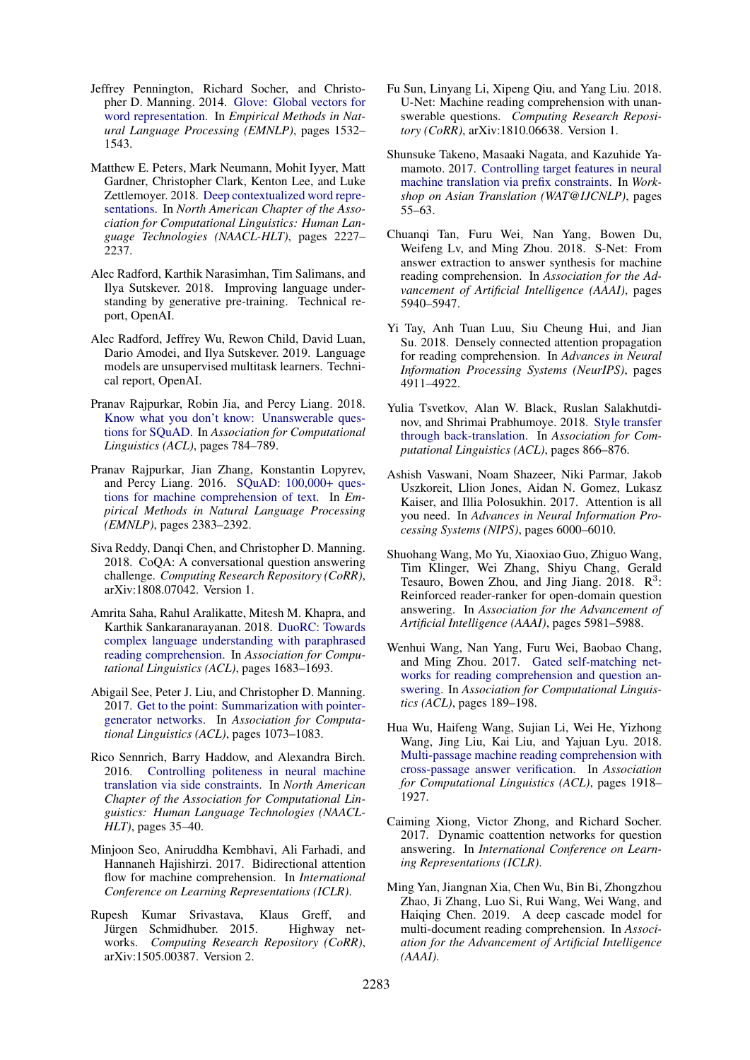- <span id="page-10-5"></span>Jeffrey Pennington, Richard Socher, and Christopher D. Manning. 2014. [Glove: Global vectors for](http://www.aclweb.org/anthology/D14-1162) [word representation.](http://www.aclweb.org/anthology/D14-1162) In *Empirical Methods in Natural Language Processing (EMNLP)*, pages 1532– 1543.
- <span id="page-10-6"></span>Matthew E. Peters, Mark Neumann, Mohit Iyyer, Matt Gardner, Christopher Clark, Kenton Lee, and Luke Zettlemoyer. 2018. [Deep contextualized word repre](https://www.aclweb.org/anthology/N18-1202)[sentations.](https://www.aclweb.org/anthology/N18-1202) In *North American Chapter of the Association for Computational Linguistics: Human Language Technologies (NAACL-HLT)*, pages 2227– 2237.
- <span id="page-10-9"></span>Alec Radford, Karthik Narasimhan, Tim Salimans, and Ilya Sutskever. 2018. Improving language understanding by generative pre-training. Technical report, OpenAI.
- <span id="page-10-15"></span>Alec Radford, Jeffrey Wu, Rewon Child, David Luan, Dario Amodei, and Ilya Sutskever. 2019. Language models are unsupervised multitask learners. Technical report, OpenAI.
- <span id="page-10-1"></span>Pranav Rajpurkar, Robin Jia, and Percy Liang. 2018. [Know what you don't know: Unanswerable ques](https://www.aclweb.org/anthology/P18-2124)[tions for SQuAD.](https://www.aclweb.org/anthology/P18-2124) In *Association for Computational Linguistics (ACL)*, pages 784–789.
- <span id="page-10-0"></span>Pranav Rajpurkar, Jian Zhang, Konstantin Lopyrev, and Percy Liang. 2016. [SQuAD: 100,000+ ques](https://aclweb.org/anthology/D16-1264)[tions for machine comprehension of text.](https://aclweb.org/anthology/D16-1264) In *Empirical Methods in Natural Language Processing (EMNLP)*, pages 2383–2392.
- <span id="page-10-18"></span>Siva Reddy, Danqi Chen, and Christopher D. Manning. 2018. CoQA: A conversational question answering challenge. *Computing Research Repository (CoRR)*, arXiv:1808.07042. Version 1.
- <span id="page-10-17"></span>Amrita Saha, Rahul Aralikatte, Mitesh M. Khapra, and Karthik Sankaranarayanan. 2018. [DuoRC: Towards](https://www.aclweb.org/anthology/P18-1156) [complex language understanding with paraphrased](https://www.aclweb.org/anthology/P18-1156) [reading comprehension.](https://www.aclweb.org/anthology/P18-1156) In *Association for Computational Linguistics (ACL)*, pages 1683–1693.
- <span id="page-10-3"></span>Abigail See, Peter J. Liu, and Christopher D. Manning. 2017. [Get to the point: Summarization with pointer](https://www.aclweb.org/anthology/P17-1099)[generator networks.](https://www.aclweb.org/anthology/P17-1099) In *Association for Computational Linguistics (ACL)*, pages 1073–1083.
- <span id="page-10-19"></span>Rico Sennrich, Barry Haddow, and Alexandra Birch. 2016. [Controlling politeness in neural machine](https://www.aclweb.org/anthology/N16-1005) [translation via side constraints.](https://www.aclweb.org/anthology/N16-1005) In *North American Chapter of the Association for Computational Linguistics: Human Language Technologies (NAACL-HLT)*, pages 35–40.
- <span id="page-10-8"></span>Minjoon Seo, Aniruddha Kembhavi, Ali Farhadi, and Hannaneh Hajishirzi. 2017. Bidirectional attention flow for machine comprehension. In *International Conference on Learning Representations (ICLR)*.
- <span id="page-10-7"></span>Rupesh Kumar Srivastava, Klaus Greff, and Jürgen Schmidhuber. 2015. works. *Computing Research Repository (CoRR)*, arXiv:1505.00387. Version 2.
- <span id="page-10-22"></span>Fu Sun, Linyang Li, Xipeng Qiu, and Yang Liu. 2018. U-Net: Machine reading comprehension with unanswerable questions. *Computing Research Repository (CoRR)*, arXiv:1810.06638. Version 1.
- <span id="page-10-11"></span>Shunsuke Takeno, Masaaki Nagata, and Kazuhide Yamamoto. 2017. [Controlling target features in neural](https://www.aclweb.org/anthology/W17-5702) [machine translation via prefix constraints.](https://www.aclweb.org/anthology/W17-5702) In *Workshop on Asian Translation (WAT@IJCNLP)*, pages 55–63.
- <span id="page-10-13"></span>Chuanqi Tan, Furu Wei, Nan Yang, Bowen Du, Weifeng Lv, and Ming Zhou. 2018. S-Net: From answer extraction to answer synthesis for machine reading comprehension. In *Association for the Advancement of Artificial Intelligence (AAAI)*, pages 5940–5947.
- <span id="page-10-14"></span>Yi Tay, Anh Tuan Luu, Siu Cheung Hui, and Jian Su. 2018. Densely connected attention propagation for reading comprehension. In *Advances in Neural Information Processing Systems (NeurIPS)*, pages 4911–4922.
- <span id="page-10-20"></span>Yulia Tsvetkov, Alan W. Black, Ruslan Salakhutdinov, and Shrimai Prabhumoye. 2018. [Style transfer](https://www.aclweb.org/anthology/P18-1080) [through back-translation.](https://www.aclweb.org/anthology/P18-1080) In *Association for Computational Linguistics (ACL)*, pages 866–876.
- <span id="page-10-4"></span>Ashish Vaswani, Noam Shazeer, Niki Parmar, Jakob Uszkoreit, Llion Jones, Aidan N. Gomez, Lukasz Kaiser, and Illia Polosukhin. 2017. Attention is all you need. In *Advances in Neural Information Processing Systems (NIPS)*, pages 6000–6010.
- <span id="page-10-16"></span>Shuohang Wang, Mo Yu, Xiaoxiao Guo, Zhiguo Wang, Tim Klinger, Wei Zhang, Shiyu Chang, Gerald Tesauro, Bowen Zhou, and Jing Jiang.  $2018$ .  $\mathbb{R}^3$ : Reinforced reader-ranker for open-domain question answering. In *Association for the Advancement of Artificial Intelligence (AAAI)*, pages 5981–5988.
- <span id="page-10-21"></span>Wenhui Wang, Nan Yang, Furu Wei, Baobao Chang, and Ming Zhou. 2017. [Gated self-matching net](https://www.aclweb.org/anthology/P17-1018)[works for reading comprehension and question an](https://www.aclweb.org/anthology/P17-1018)[swering.](https://www.aclweb.org/anthology/P17-1018) In *Association for Computational Linguistics (ACL)*, pages 189–198.
- <span id="page-10-2"></span>Hua Wu, Haifeng Wang, Sujian Li, Wei He, Yizhong Wang, Jing Liu, Kai Liu, and Yajuan Lyu. 2018. [Multi-passage machine reading comprehension with](https://www.aclweb.org/anthology/P18-1178) [cross-passage answer verification.](https://www.aclweb.org/anthology/P18-1178) In *Association for Computational Linguistics (ACL)*, pages 1918– 1927.
- <span id="page-10-10"></span>Caiming Xiong, Victor Zhong, and Richard Socher. 2017. Dynamic coattention networks for question answering. In *International Conference on Learning Representations (ICLR)*.
- <span id="page-10-12"></span>Ming Yan, Jiangnan Xia, Chen Wu, Bin Bi, Zhongzhou Zhao, Ji Zhang, Luo Si, Rui Wang, Wei Wang, and Haiqing Chen. 2019. A deep cascade model for multi-document reading comprehension. In *Association for the Advancement of Artificial Intelligence (AAAI)*.